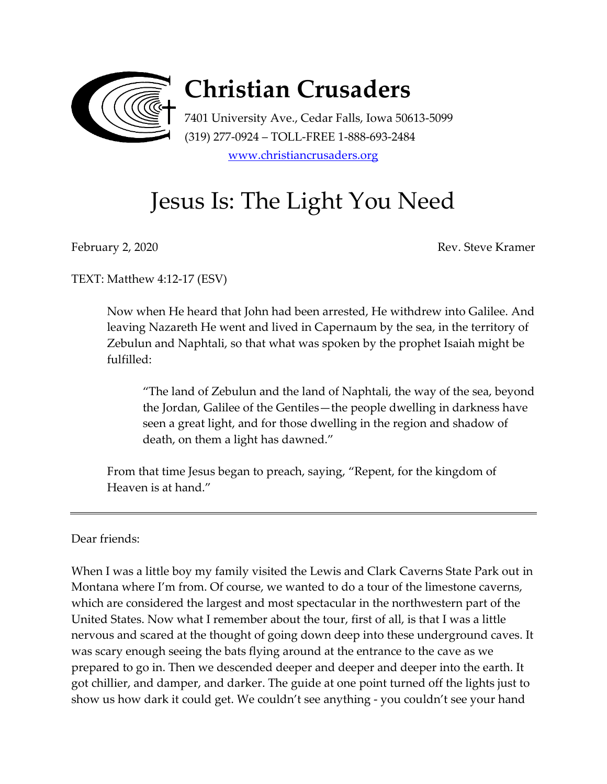

## **Christian Crusaders**

7401 University Ave., Cedar Falls, Iowa 50613-5099 (319) 277-0924 – TOLL-FREE 1-888-693-2484 [www.christiancrusaders.org](http://www.christiancruaders.org/)

## Jesus Is: The Light You Need

February 2, 2020 Rev. Steve Kramer

TEXT: Matthew 4:12-17 (ESV)

Now when He heard that John had been arrested, He withdrew into Galilee. And leaving Nazareth He went and lived in Capernaum by the sea, in the territory of Zebulun and Naphtali, so that what was spoken by the prophet Isaiah might be fulfilled:

"The land of Zebulun and the land of Naphtali, the way of the sea, beyond the Jordan, Galilee of the Gentiles—the people dwelling in darkness have seen a great light, and for those dwelling in the region and shadow of death, on them a light has dawned."

From that time Jesus began to preach, saying, "Repent, for the kingdom of Heaven is at hand."

Dear friends:

When I was a little boy my family visited the Lewis and Clark Caverns State Park out in Montana where I'm from. Of course, we wanted to do a tour of the limestone caverns, which are considered the largest and most spectacular in the northwestern part of the United States. Now what I remember about the tour, first of all, is that I was a little nervous and scared at the thought of going down deep into these underground caves. It was scary enough seeing the bats flying around at the entrance to the cave as we prepared to go in. Then we descended deeper and deeper and deeper into the earth. It got chillier, and damper, and darker. The guide at one point turned off the lights just to show us how dark it could get. We couldn't see anything - you couldn't see your hand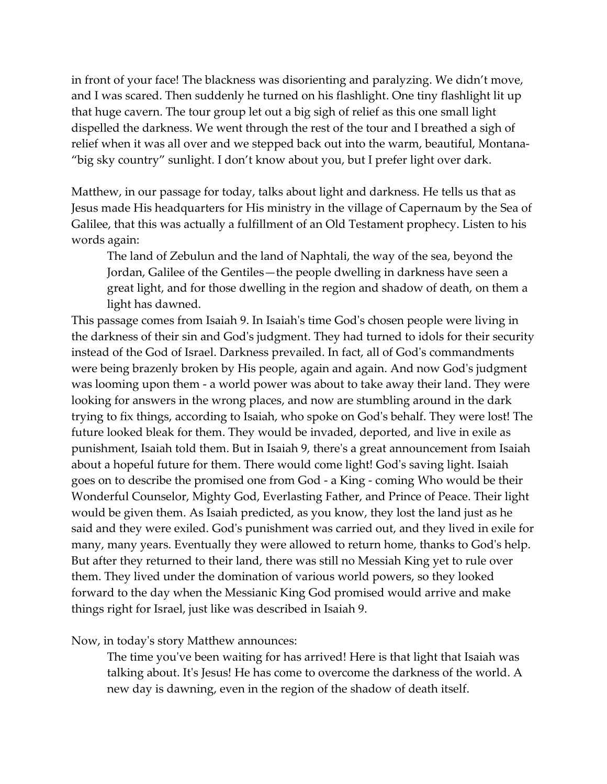in front of your face! The blackness was disorienting and paralyzing. We didn't move, and I was scared. Then suddenly he turned on his flashlight. One tiny flashlight lit up that huge cavern. The tour group let out a big sigh of relief as this one small light dispelled the darkness. We went through the rest of the tour and I breathed a sigh of relief when it was all over and we stepped back out into the warm, beautiful, Montana- "big sky country" sunlight. I don't know about you, but I prefer light over dark.

Matthew, in our passage for today, talks about light and darkness. He tells us that as Jesus made His headquarters for His ministry in the village of Capernaum by the Sea of Galilee, that this was actually a fulfillment of an Old Testament prophecy. Listen to his words again:

The land of Zebulun and the land of Naphtali, the way of the sea, beyond the Jordan, Galilee of the Gentiles—the people dwelling in darkness have seen a great light, and for those dwelling in the region and shadow of death, on them a light has dawned.

This passage comes from Isaiah 9. In Isaiah's time God's chosen people were living in the darkness of their sin and God's judgment. They had turned to idols for their security instead of the God of Israel. Darkness prevailed. In fact, all of God's commandments were being brazenly broken by His people, again and again. And now God's judgment was looming upon them - a world power was about to take away their land. They were looking for answers in the wrong places, and now are stumbling around in the dark trying to fix things, according to Isaiah, who spoke on God's behalf. They were lost! The future looked bleak for them. They would be invaded, deported, and live in exile as punishment, Isaiah told them. But in Isaiah 9, there's a great announcement from Isaiah about a hopeful future for them. There would come light! God's saving light. Isaiah goes on to describe the promised one from God - a King - coming Who would be their Wonderful Counselor, Mighty God, Everlasting Father, and Prince of Peace. Their light would be given them. As Isaiah predicted, as you know, they lost the land just as he said and they were exiled. God's punishment was carried out, and they lived in exile for many, many years. Eventually they were allowed to return home, thanks to God's help. But after they returned to their land, there was still no Messiah King yet to rule over them. They lived under the domination of various world powers, so they looked forward to the day when the Messianic King God promised would arrive and make things right for Israel, just like was described in Isaiah 9.

Now, in today's story Matthew announces:

The time you've been waiting for has arrived! Here is that light that Isaiah was talking about. It's Jesus! He has come to overcome the darkness of the world. A new day is dawning, even in the region of the shadow of death itself.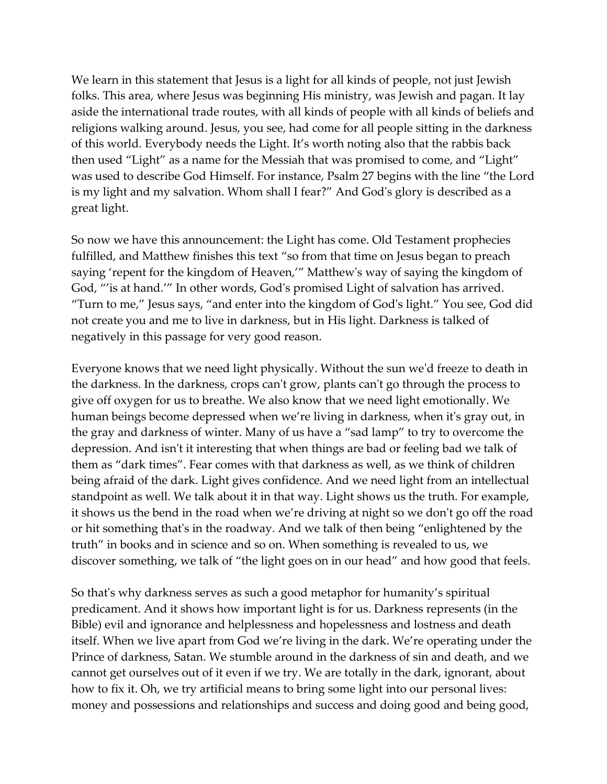We learn in this statement that Jesus is a light for all kinds of people, not just Jewish folks. This area, where Jesus was beginning His ministry, was Jewish and pagan. It lay aside the international trade routes, with all kinds of people with all kinds of beliefs and religions walking around. Jesus, you see, had come for all people sitting in the darkness of this world. Everybody needs the Light. It's worth noting also that the rabbis back then used "Light" as a name for the Messiah that was promised to come, and "Light" was used to describe God Himself. For instance, Psalm 27 begins with the line "the Lord is my light and my salvation. Whom shall I fear?" And God's glory is described as a great light.

So now we have this announcement: the Light has come. Old Testament prophecies fulfilled, and Matthew finishes this text "so from that time on Jesus began to preach saying 'repent for the kingdom of Heaven,'" Matthew's way of saying the kingdom of God, "'is at hand.'" In other words, God's promised Light of salvation has arrived. "Turn to me," Jesus says, "and enter into the kingdom of God's light." You see, God did not create you and me to live in darkness, but in His light. Darkness is talked of negatively in this passage for very good reason.

Everyone knows that we need light physically. Without the sun we'd freeze to death in the darkness. In the darkness, crops can't grow, plants can't go through the process to give off oxygen for us to breathe. We also know that we need light emotionally. We human beings become depressed when we're living in darkness, when it's gray out, in the gray and darkness of winter. Many of us have a "sad lamp" to try to overcome the depression. And isn't it interesting that when things are bad or feeling bad we talk of them as "dark times". Fear comes with that darkness as well, as we think of children being afraid of the dark. Light gives confidence. And we need light from an intellectual standpoint as well. We talk about it in that way. Light shows us the truth. For example, it shows us the bend in the road when we're driving at night so we don't go off the road or hit something that's in the roadway. And we talk of then being "enlightened by the truth" in books and in science and so on. When something is revealed to us, we discover something, we talk of "the light goes on in our head" and how good that feels.

So that's why darkness serves as such a good metaphor for humanity's spiritual predicament. And it shows how important light is for us. Darkness represents (in the Bible) evil and ignorance and helplessness and hopelessness and lostness and death itself. When we live apart from God we're living in the dark. We're operating under the Prince of darkness, Satan. We stumble around in the darkness of sin and death, and we cannot get ourselves out of it even if we try. We are totally in the dark, ignorant, about how to fix it. Oh, we try artificial means to bring some light into our personal lives: money and possessions and relationships and success and doing good and being good,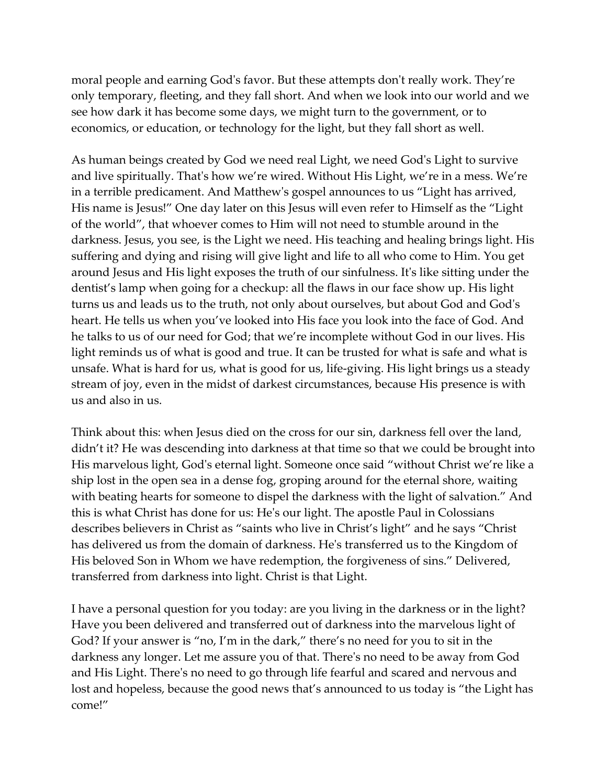moral people and earning God's favor. But these attempts don't really work. They're only temporary, fleeting, and they fall short. And when we look into our world and we see how dark it has become some days, we might turn to the government, or to economics, or education, or technology for the light, but they fall short as well.

As human beings created by God we need real Light, we need God's Light to survive and live spiritually. That's how we're wired. Without His Light, we're in a mess. We're in a terrible predicament. And Matthew's gospel announces to us "Light has arrived, His name is Jesus!" One day later on this Jesus will even refer to Himself as the "Light of the world", that whoever comes to Him will not need to stumble around in the darkness. Jesus, you see, is the Light we need. His teaching and healing brings light. His suffering and dying and rising will give light and life to all who come to Him. You get around Jesus and His light exposes the truth of our sinfulness. It's like sitting under the dentist's lamp when going for a checkup: all the flaws in our face show up. His light turns us and leads us to the truth, not only about ourselves, but about God and God's heart. He tells us when you've looked into His face you look into the face of God. And he talks to us of our need for God; that we're incomplete without God in our lives. His light reminds us of what is good and true. It can be trusted for what is safe and what is unsafe. What is hard for us, what is good for us, life-giving. His light brings us a steady stream of joy, even in the midst of darkest circumstances, because His presence is with us and also in us.

Think about this: when Jesus died on the cross for our sin, darkness fell over the land, didn't it? He was descending into darkness at that time so that we could be brought into His marvelous light, God's eternal light. Someone once said "without Christ we're like a ship lost in the open sea in a dense fog, groping around for the eternal shore, waiting with beating hearts for someone to dispel the darkness with the light of salvation." And this is what Christ has done for us: He's our light. The apostle Paul in Colossians describes believers in Christ as "saints who live in Christ's light" and he says "Christ has delivered us from the domain of darkness. He's transferred us to the Kingdom of His beloved Son in Whom we have redemption, the forgiveness of sins." Delivered, transferred from darkness into light. Christ is that Light.

I have a personal question for you today: are you living in the darkness or in the light? Have you been delivered and transferred out of darkness into the marvelous light of God? If your answer is "no, I'm in the dark," there's no need for you to sit in the darkness any longer. Let me assure you of that. There's no need to be away from God and His Light. There's no need to go through life fearful and scared and nervous and lost and hopeless, because the good news that's announced to us today is "the Light has come!"